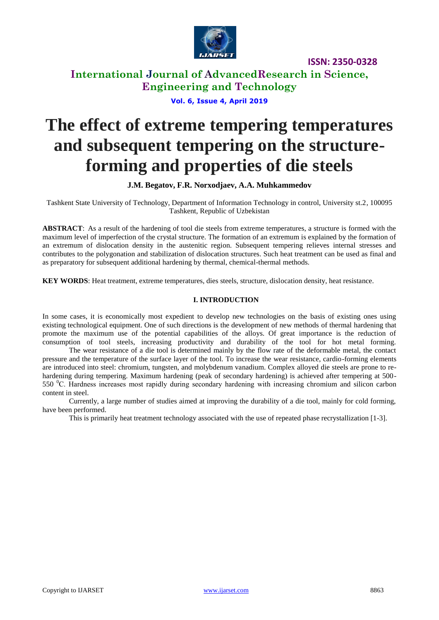

**International Journal of AdvancedResearch in Science, Engineering and Technology**

### **Vol. 6, Issue 4, April 2019**

# **The effect of extreme tempering temperatures and subsequent tempering on the structureforming and properties of die steels**

**J.M. Begatov, F.R. Norxodjaev, A.A. Muhkammedov**

Tashkent State University of Technology, Department of Information Technology in control, University st.2, 100095 Tashkent, Republic of Uzbekistan

**ABSTRACT**: As a result of the hardening of tool die steels from extreme temperatures, a structure is formed with the maximum level of imperfection of the crystal structure. The formation of an extremum is explained by the formation of an extremum of dislocation density in the austenitic region. Subsequent tempering relieves internal stresses and contributes to the polygonation and stabilization of dislocation structures. Such heat treatment can be used as final and as preparatory for subsequent additional hardening by thermal, chemical-thermal methods.

**KEY WORDS**: Heat treatment, extreme temperatures, dies steels, structure, dislocation density, heat resistance.

### **I. INTRODUCTION**

In some cases, it is economically most expedient to develop new technologies on the basis of existing ones using existing technological equipment. One of such directions is the development of new methods of thermal hardening that promote the maximum use of the potential capabilities of the alloys. Of great importance is the reduction of consumption of tool steels, increasing productivity and durability of the tool for hot metal forming.

The wear resistance of a die tool is determined mainly by the flow rate of the deformable metal, the contact pressure and the temperature of the surface layer of the tool. To increase the wear resistance, cardio-forming elements are introduced into steel: chromium, tungsten, and molybdenum vanadium. Complex alloyed die steels are prone to rehardening during tempering. Maximum hardening (peak of secondary hardening) is achieved after tempering at 500- 550  $^{\circ}$ C. Hardness increases most rapidly during secondary hardening with increasing chromium and silicon carbon content in steel.

Currently, a large number of studies aimed at improving the durability of a die tool, mainly for cold forming, have been performed.

This is primarily heat treatment technology associated with the use of repeated phase recrystallization [1-3].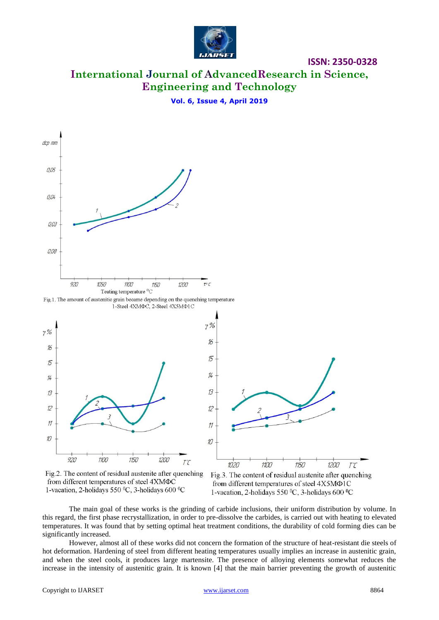

**International Journal of AdvancedResearch in Science, Engineering and Technology**

**Vol. 6, Issue 4, April 2019**



Fig.2. The content of residual austenite after quenching from different temperatures of steel 4XMΦC 1-vacation, 2-holidays 550  $^0C$ , 3-holidays 600  $^0C$ 



The main goal of these works is the grinding of carbide inclusions, their uniform distribution by volume. In this regard, the first phase recrystallization, in order to pre-dissolve the carbides, is carried out with heating to elevated temperatures. It was found that by setting optimal heat treatment conditions, the durability of cold forming dies can be significantly increased.

However, almost all of these works did not concern the formation of the structure of heat-resistant die steels of hot deformation. Hardening of steel from different heating temperatures usually implies an increase in austenitic grain, and when the steel cools, it produces large martensite. The presence of alloying elements somewhat reduces the increase in the intensity of austenitic grain. It is known [4] that the main barrier preventing the growth of austenitic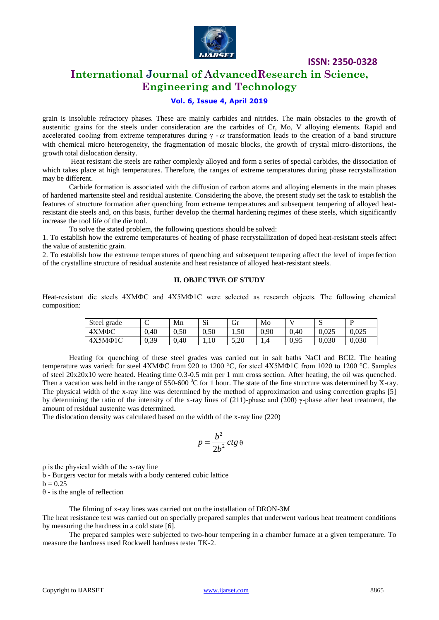

## **International Journal of AdvancedResearch in Science, Engineering and Technology**

### **Vol. 6, Issue 4, April 2019**

grain is insoluble refractory phases. These are mainly carbides and nitrides. The main obstacles to the growth of austenitic grains for the steels under consideration are the carbides of Cr, Mo, V alloying elements. Rapid and accelerated cooling from extreme temperatures during  $\gamma$  -  $\alpha$  transformation leads to the creation of a band structure with chemical micro heterogeneity, the fragmentation of mosaic blocks, the growth of crystal micro-distortions, the growth total dislocation density.

Heat resistant die steels are rather complexly alloyed and form a series of special carbides, the dissociation of which takes place at high temperatures. Therefore, the ranges of extreme temperatures during phase recrystallization may be different.

Carbide formation is associated with the diffusion of carbon atoms and alloying elements in the main phases of hardened martensite steel and residual austenite. Considering the above, the present study set the task to establish the features of structure formation after quenching from extreme temperatures and subsequent tempering of alloyed heatresistant die steels and, on this basis, further develop the thermal hardening regimes of these steels, which significantly increase the tool life of the die tool.

To solve the stated problem, the following questions should be solved:

1. To establish how the extreme temperatures of heating of phase recrystallization of doped heat-resistant steels affect the value of austenitic grain.

2. To establish how the extreme temperatures of quenching and subsequent tempering affect the level of imperfection of the crystalline structure of residual austenite and heat resistance of alloyed heat-resistant steels.

### **II. OBJECTIVE OF STUDY**

Heat-resistant die steels 4ХМФС and 4Х5МФ1С were selected as research objects. The following chemical composition:

| Steel grade  | ⌒<br>◡ | Mn   | c:<br>ນ⊥ | Gr   | Mo   |      | $\sim$<br>ມ | D     |
|--------------|--------|------|----------|------|------|------|-------------|-------|
| 4ХМФС        | 0.40   | 0.50 | 0.50     | 1,50 | 0,90 | 0.40 | 0.025       | 0.025 |
| $4X5M\Phi1C$ | 0,39   | 0.40 | .10      | 5,20 | 1.4  | 0,95 | 0.030       | 0,030 |

Heating for quenching of these steel grades was carried out in salt baths NaCl and BCl2. The heating temperature was varied: for steel 4ХМФС from 920 to 1200 °C, for steel 4Х5МФ1С from 1020 to 1200 °C. Samples of steel 20x20x10 were heated. Heating time 0.3-0.5 min per 1 mm cross section. After heating, the oil was quenched. Then a vacation was held in the range of 550-600  $^0C$  for 1 hour. The state of the fine structure was determined by X-ray. The physical width of the x-ray line was determined by the method of approximation and using correction graphs [5] by determining the ratio of the intensity of the x-ray lines of  $(211)$ -phase and  $(200)$   $\gamma$ -phase after heat treatment, the amount of residual austenite was determined.

The dislocation density was calculated based on the width of the x-ray line (220)

$$
p = \frac{b^2}{2b^2}ctg\,\theta
$$

ρ is the physical width of the x-ray line

b - Burgers vector for metals with a body centered cubic lattice

 $b = 0.25$ 

θ - is the angle of reflection

The filming of x-ray lines was carried out on the installation of DRON-3M

The heat resistance test was carried out on specially prepared samples that underwent various heat treatment conditions by measuring the hardness in a cold state [6].

The prepared samples were subjected to two-hour tempering in a chamber furnace at a given temperature. To measure the hardness used Rockwell hardness tester TK-2.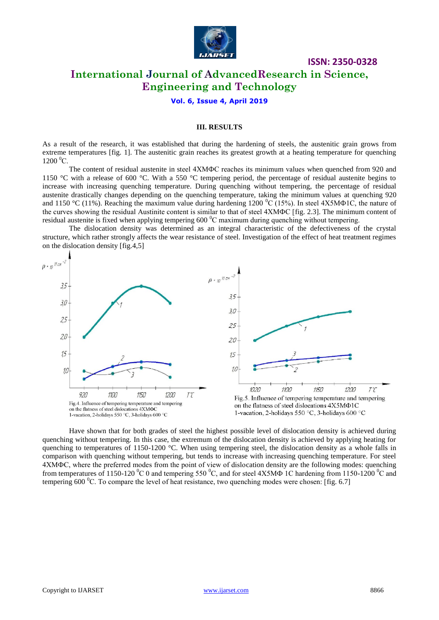

## **ISSN: 2350-0328 International Journal of AdvancedResearch in Science,**

**Engineering and Technology**

**Vol. 6, Issue 4, April 2019**

#### **III. RESULTS**

As a result of the research, it was established that during the hardening of steels, the austenitic grain grows from extreme temperatures [fig. 1]. The austenitic grain reaches its greatest growth at a heating temperature for quenching  $1200 \,^0$ C.

The content of residual austenite in steel 4ХМФС reaches its minimum values when quenched from 920 and 1150 °C with a release of 600 °C. With a 550 °C tempering period, the percentage of residual austenite begins to increase with increasing quenching temperature. During quenching without tempering, the percentage of residual austenite drastically changes depending on the quenching temperature, taking the minimum values at quenching 920 and 1150 °C (11%). Reaching the maximum value during hardening 1200 °C (15%). In steel 4X5MΦ1C, the nature of the curves showing the residual Austinite content is similar to that of steel 4ХМФС [fig. 2.3]. The minimum content of residual austenite is fixed when applying tempering 600 °C maximum during quenching without tempering.

The dislocation density was determined as an integral characteristic of the defectiveness of the crystal structure, which rather strongly affects the wear resistance of steel. Investigation of the effect of heat treatment regimes on the dislocation density [fig.4,5]



Have shown that for both grades of steel the highest possible level of dislocation density is achieved during quenching without tempering. In this case, the extremum of the dislocation density is achieved by applying heating for quenching to temperatures of 1150-1200 °C. When using tempering steel, the dislocation density as a whole falls in comparison with quenching without tempering, but tends to increase with increasing quenching temperature. For steel 4ХМФС, where the preferred modes from the point of view of dislocation density are the following modes: quenching from temperatures of 1150-120  $\rm{^0C}$  0 and tempering 550  $\rm{^0C}$ , and for steel 4X5MΦ 1C hardening from 1150-1200  $\rm{^0C}$  and tempering 600  $^{\circ}$ C. To compare the level of heat resistance, two quenching modes were chosen: [fig. 6.7]